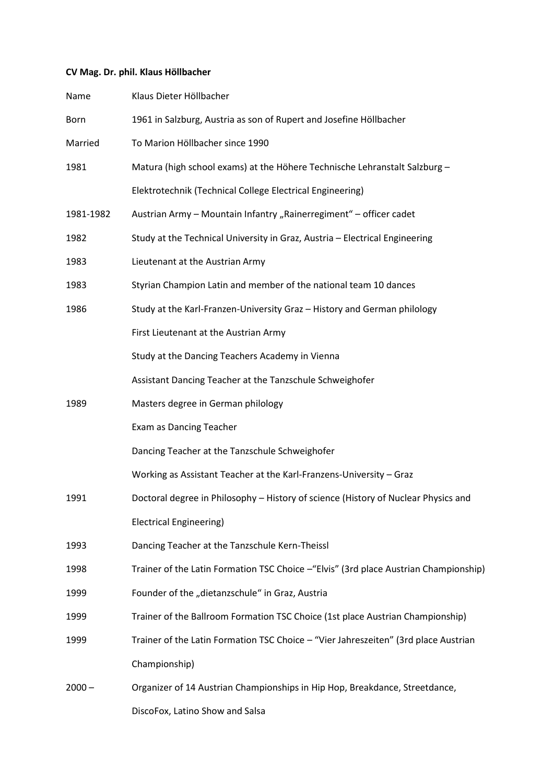## **CV Mag. Dr. phil. Klaus Höllbacher**

| Name      | Klaus Dieter Höllbacher                                                              |
|-----------|--------------------------------------------------------------------------------------|
| Born      | 1961 in Salzburg, Austria as son of Rupert and Josefine Höllbacher                   |
| Married   | To Marion Höllbacher since 1990                                                      |
| 1981      | Matura (high school exams) at the Höhere Technische Lehranstalt Salzburg -           |
|           | Elektrotechnik (Technical College Electrical Engineering)                            |
| 1981-1982 | Austrian Army - Mountain Infantry "Rainerregiment" - officer cadet                   |
| 1982      | Study at the Technical University in Graz, Austria - Electrical Engineering          |
| 1983      | Lieutenant at the Austrian Army                                                      |
| 1983      | Styrian Champion Latin and member of the national team 10 dances                     |
| 1986      | Study at the Karl-Franzen-University Graz - History and German philology             |
|           | First Lieutenant at the Austrian Army                                                |
|           | Study at the Dancing Teachers Academy in Vienna                                      |
|           | Assistant Dancing Teacher at the Tanzschule Schweighofer                             |
| 1989      | Masters degree in German philology                                                   |
|           | Exam as Dancing Teacher                                                              |
|           | Dancing Teacher at the Tanzschule Schweighofer                                       |
|           | Working as Assistant Teacher at the Karl-Franzens-University - Graz                  |
| 1991      | Doctoral degree in Philosophy - History of science (History of Nuclear Physics and   |
|           | <b>Electrical Engineering)</b>                                                       |
| 1993      | Dancing Teacher at the Tanzschule Kern-Theissl                                       |
| 1998      | Trainer of the Latin Formation TSC Choice -"Elvis" (3rd place Austrian Championship) |
| 1999      | Founder of the "dietanzschule" in Graz, Austria                                      |
| 1999      | Trainer of the Ballroom Formation TSC Choice (1st place Austrian Championship)       |
| 1999      | Trainer of the Latin Formation TSC Choice - "Vier Jahreszeiten" (3rd place Austrian  |
|           | Championship)                                                                        |
| $2000 -$  | Organizer of 14 Austrian Championships in Hip Hop, Breakdance, Streetdance,          |
|           | DiscoFox, Latino Show and Salsa                                                      |